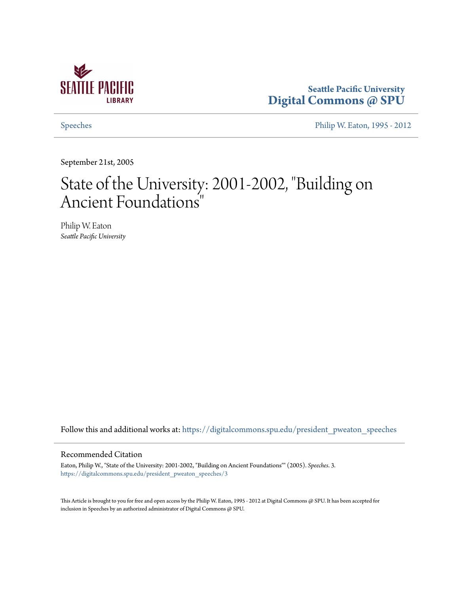

## **Seattle Pacific University [Digital Commons @ SPU](https://digitalcommons.spu.edu?utm_source=digitalcommons.spu.edu%2Fpresident_pweaton_speeches%2F3&utm_medium=PDF&utm_campaign=PDFCoverPages)**

[Speeches](https://digitalcommons.spu.edu/president_pweaton_speeches?utm_source=digitalcommons.spu.edu%2Fpresident_pweaton_speeches%2F3&utm_medium=PDF&utm_campaign=PDFCoverPages) [Philip W. Eaton, 1995 - 2012](https://digitalcommons.spu.edu/president_pweaton?utm_source=digitalcommons.spu.edu%2Fpresident_pweaton_speeches%2F3&utm_medium=PDF&utm_campaign=PDFCoverPages)

September 21st, 2005

# State of the University: 2001-2002, "Building on Ancient Foundations"

Philip W. Eaton *Seattle Pacific University*

Follow this and additional works at: [https://digitalcommons.spu.edu/president\\_pweaton\\_speeches](https://digitalcommons.spu.edu/president_pweaton_speeches?utm_source=digitalcommons.spu.edu%2Fpresident_pweaton_speeches%2F3&utm_medium=PDF&utm_campaign=PDFCoverPages)

#### Recommended Citation

Eaton, Philip W., "State of the University: 2001-2002, "Building on Ancient Foundations"" (2005). *Speeches*. 3. [https://digitalcommons.spu.edu/president\\_pweaton\\_speeches/3](https://digitalcommons.spu.edu/president_pweaton_speeches/3?utm_source=digitalcommons.spu.edu%2Fpresident_pweaton_speeches%2F3&utm_medium=PDF&utm_campaign=PDFCoverPages)

This Article is brought to you for free and open access by the Philip W. Eaton, 1995 - 2012 at Digital Commons @ SPU. It has been accepted for inclusion in Speeches by an authorized administrator of Digital Commons @ SPU.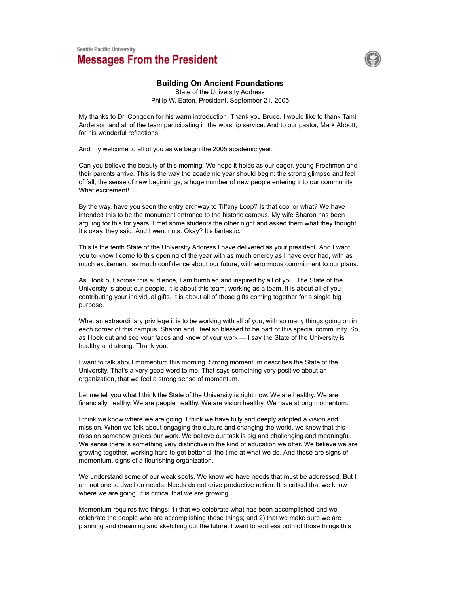

### **Building On Ancient Foundations**

State of the University Address Philip W. Eaton, President, September 21, 2005

My thanks to Dr. Congdon for his warm introduction. Thank you Bruce. I would like to thank Tami Anderson and all of the team participating in the worship service. And to our pastor, Mark Abbott, for his wonderful reflections.

And my welcome to all of you as we begin the 2005 academic year.

Can you believe the beauty of this morning! We hope it holds as our eager, young Freshmen and their parents arrive. This is the way the academic year should begin: the strong glimpse and feel of fall; the sense of new beginnings; a huge number of new people entering into our community. What excitement!

By the way, have you seen the entry archway to Tiffany Loop? Is that cool or what? We have intended this to be the monument entrance to the historic campus. My wife Sharon has been arguing for this for years. I met some students the other night and asked them what they thought. It's okay, they said. And I went nuts. Okay? It's fantastic.

This is the tenth State of the University Address I have delivered as your president. And I want you to know I come to this opening of the year with as much energy as I have ever had, with as much excitement, as much confidence about our future, with enormous commitment to our plans.

As I look out across this audience, I am humbled and inspired by all of you. The State of the University is about our people. It is about this team, working as a team. It is about all of you contributing your individual gifts. It is about all of those gifts coming together for a single big purpose.

What an extraordinary privilege it is to be working with all of you, with so many things going on in each corner of this campus. Sharon and I feel so blessed to be part of this special community. So, as I look out and see your faces and know of your work — I say the State of the University is healthy and strong. Thank you.

I want to talk about momentum this morning. Strong momentum describes the State of the University. That's a very good word to me. That says something very positive about an organization, that we feel a strong sense of momentum.

Let me tell you what I think the State of the University is right now. We are healthy. We are financially healthy. We are people healthy. We are vision healthy. We have strong momentum.

I think we know where we are going. I think we have fully and deeply adopted a vision and mission. When we talk about engaging the culture and changing the world, we know that this mission somehow guides our work. We believe our task is big and challenging and meaningful. We sense there is something very distinctive in the kind of education we offer. We believe we are growing together, working hard to get better all the time at what we do. And those are signs of momentum, signs of a flourishing organization.

We understand some of our weak spots. We know we have needs that must be addressed. But I am not one to dwell on needs. Needs do not drive productive action. It is critical that we know where we are going. It is critical that we are growing.

Momentum requires two things: 1) that we celebrate what has been accomplished and we celebrate the people who are accomplishing those things; and 2) that we make sure we are planning and dreaming and sketching out the future. I want to address both of those things this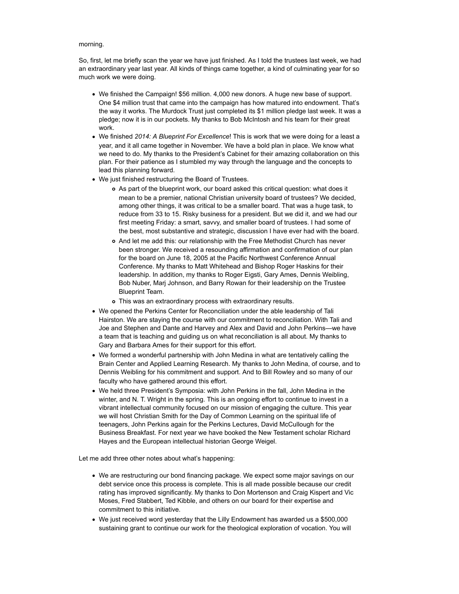#### morning.

So, first, let me briefly scan the year we have just finished. As I told the trustees last week, we had an extraordinary year last year. All kinds of things came together, a kind of culminating year for so much work we were doing.

- We finished the Campaign! \$56 million. 4,000 new donors. A huge new base of support. One \$4 million trust that came into the campaign has how matured into endowment. That's the way it works. The Murdock Trust just completed its \$1 million pledge last week. It was a pledge; now it is in our pockets. My thanks to Bob McIntosh and his team for their great work.
- We finished *2014: A Blueprint For Excellence*! This is work that we were doing for a least a year, and it all came together in November. We have a bold plan in place. We know what we need to do. My thanks to the President's Cabinet for their amazing collaboration on this plan. For their patience as I stumbled my way through the language and the concepts to lead this planning forward.
- We just finished restructuring the Board of Trustees.
	- As part of the blueprint work, our board asked this critical question: what does it mean to be a premier, national Christian university board of trustees? We decided, among other things, it was critical to be a smaller board. That was a huge task, to reduce from 33 to 15. Risky business for a president. But we did it, and we had our first meeting Friday: a smart, savvy, and smaller board of trustees. I had some of the best, most substantive and strategic, discussion I have ever had with the board.
	- And let me add this: our relationship with the Free Methodist Church has never been stronger. We received a resounding affirmation and confirmation of our plan for the board on June 18, 2005 at the Pacific Northwest Conference Annual Conference. My thanks to Matt Whitehead and Bishop Roger Haskins for their leadership. In addition, my thanks to Roger Eigsti, Gary Ames, Dennis Weibling, Bob Nuber, Marj Johnson, and Barry Rowan for their leadership on the Trustee Blueprint Team.
	- This was an extraordinary process with extraordinary results.
- We opened the Perkins Center for Reconciliation under the able leadership of Tali Hairston. We are staying the course with our commitment to reconciliation. With Tali and Joe and Stephen and Dante and Harvey and Alex and David and John Perkins—we have a team that is teaching and guiding us on what reconciliation is all about. My thanks to Gary and Barbara Ames for their support for this effort.
- We formed a wonderful partnership with John Medina in what are tentatively calling the Brain Center and Applied Learning Research. My thanks to John Medina, of course, and to Dennis Weibling for his commitment and support. And to Bill Rowley and so many of our faculty who have gathered around this effort.
- We held three President's Symposia: with John Perkins in the fall, John Medina in the winter, and N. T. Wright in the spring. This is an ongoing effort to continue to invest in a vibrant intellectual community focused on our mission of engaging the culture. This year we will host Christian Smith for the Day of Common Learning on the spiritual life of teenagers, John Perkins again for the Perkins Lectures, David McCullough for the Business Breakfast. For next year we have booked the New Testament scholar Richard Hayes and the European intellectual historian George Weigel.

Let me add three other notes about what's happening:

- We are restructuring our bond financing package. We expect some major savings on our debt service once this process is complete. This is all made possible because our credit rating has improved significantly. My thanks to Don Mortenson and Craig Kispert and Vic Moses, Fred Stabbert, Ted Kibble, and others on our board for their expertise and commitment to this initiative.
- We just received word yesterday that the Lilly Endowment has awarded us a \$500,000 sustaining grant to continue our work for the theological exploration of vocation. You will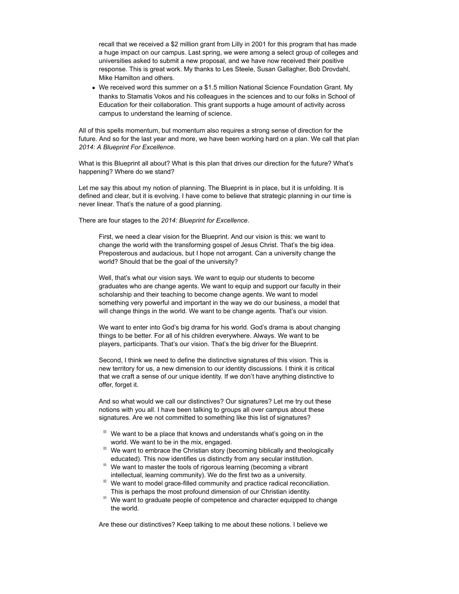recall that we received a \$2 million grant from Lilly in 2001 for this program that has made a huge impact on our campus. Last spring, we were among a select group of colleges and universities asked to submit a new proposal, and we have now received their positive response. This is great work. My thanks to Les Steele, Susan Gallagher, Bob Drovdahl, Mike Hamilton and others.

We received word this summer on a \$1.5 million National Science Foundation Grant. My thanks to Stamatis Vokos and his colleagues in the sciences and to our folks in School of Education for their collaboration. This grant supports a huge amount of activity across campus to understand the learning of science.

All of this spells momentum, but momentum also requires a strong sense of direction for the future. And so for the last year and more, we have been working hard on a plan. We call that plan *2014: A Blueprint For Excellence*.

What is this Blueprint all about? What is this plan that drives our direction for the future? What's happening? Where do we stand?

Let me say this about my notion of planning. The Blueprint is in place, but it is unfolding. It is defined and clear, but it is evolving. I have come to believe that strategic planning in our time is never linear. That's the nature of a good planning.

There are four stages to the *2014: Blueprint for Excellence*.

First, we need a clear vision for the Blueprint. And our vision is this: we want to change the world with the transforming gospel of Jesus Christ. That's the big idea. Preposterous and audacious, but I hope not arrogant. Can a university change the world? Should that be the goal of the university?

Well, that's what our vision says. We want to equip our students to become graduates who are change agents. We want to equip and support our faculty in their scholarship and their teaching to become change agents. We want to model something very powerful and important in the way we do our business, a model that will change things in the world. We want to be change agents. That's our vision.

We want to enter into God's big drama for his world. God's drama is about changing things to be better. For all of his children everywhere. Always. We want to be players, participants. That's our vision. That's the big driver for the Blueprint.

Second, I think we need to define the distinctive signatures of this vision. This is new territory for us, a new dimension to our identity discussions. I think it is critical that we craft a sense of our unique identity. If we don't have anything distinctive to offer, forget it.

And so what would we call our distinctives? Our signatures? Let me try out these notions with you all. I have been talking to groups all over campus about these signatures. Are we not committed to something like this list of signatures?

- $\blacksquare$  We want to be a place that knows and understands what's going on in the world. We want to be in the mix, engaged.
- We want to embrace the Christian story (becoming biblically and theologically educated). This now identifies us distinctly from any secular institution.
- $\blacksquare$  We want to master the tools of rigorous learning (becoming a vibrant intellectual, learning community). We do the first two as a university.
- $\blacksquare$  We want to model grace-filled community and practice radical reconciliation. This is perhaps the most profound dimension of our Christian identity.
- We want to graduate people of competence and character equipped to change the world.

Are these our distinctives? Keep talking to me about these notions. I believe we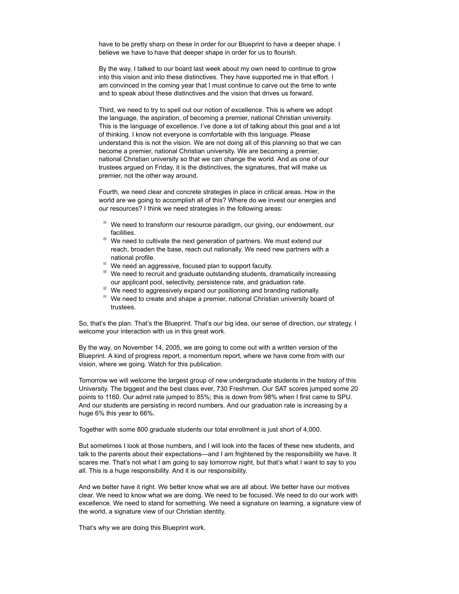have to be pretty sharp on these in order for our Blueprint to have a deeper shape. I believe we have to have that deeper shape in order for us to flourish.

By the way, I talked to our board last week about my own need to continue to grow into this vision and into these distinctives. They have supported me in that effort. I am convinced in the coming year that I must continue to carve out the time to write and to speak about these distinctives and the vision that drives us forward.

Third, we need to try to spell out our notion of excellence. This is where we adopt the language, the aspiration, of becoming a premier, national Christian university. This is the language of excellence. I've done a lot of talking about this goal and a lot of thinking. I know not everyone is comfortable with this language. Please understand this is not the vision. We are not doing all of this planning so that we can become a premier, national Christian university. We are becoming a premier, national Christian university so that we can change the world. And as one of our trustees argued on Friday, it is the distinctives, the signatures, that will make us premier, not the other way around.

Fourth, we need clear and concrete strategies in place in critical areas. How in the world are we going to accomplish all of this? Where do we invest our energies and our resources? I think we need strategies in the following areas:

- We need to transform our resource paradigm, our giving, our endowment, our facilities.
- $\blacksquare$  We need to cultivate the next generation of partners. We must extend our reach, broaden the base, reach out nationally. We need new partners with a national profile.
- We need an aggressive, focused plan to support faculty.
- $\blacksquare$  We need to recruit and graduate outstanding students, dramatically increasing our applicant pool, selectivity, persistence rate, and graduation rate.
- $\blacksquare$  We need to aggressively expand our positioning and branding nationally.
- $\blacksquare$  We need to create and shape a premier, national Christian university board of trustees.

So, that's the plan. That's the Blueprint. That's our big idea, our sense of direction, our strategy. I welcome your interaction with us in this great work.

By the way, on November 14, 2005, we are going to come out with a written version of the Blueprint. A kind of progress report, a momentum report, where we have come from with our vision, where we going. Watch for this publication.

Tomorrow we will welcome the largest group of new undergraduate students in the history of this University. The biggest and the best class ever, 730 Freshmen. Our SAT scores jumped some 20 points to 1160. Our admit rate jumped to 85%; this is down from 98% when I first came to SPU. And our students are persisting in record numbers. And our graduation rate is increasing by a huge 6% this year to 66%.

Together with some 800 graduate students our total enrollment is just short of 4,000.

But sometimes I look at those numbers, and I will look into the faces of these new students, and talk to the parents about their expectations—and I am frightened by the responsibility we have. It scares me. That's not what I am going to say tomorrow night, but that's what I want to say to you all. This is a huge responsibility. And it is our responsibility.

And we better have it right. We better know what we are all about. We better have our motives clear. We need to know what we are doing. We need to be focused. We need to do our work with excellence. We need to stand for something. We need a signature on learning, a signature view of the world, a signature view of our Christian identity.

That's why we are doing this Blueprint work.